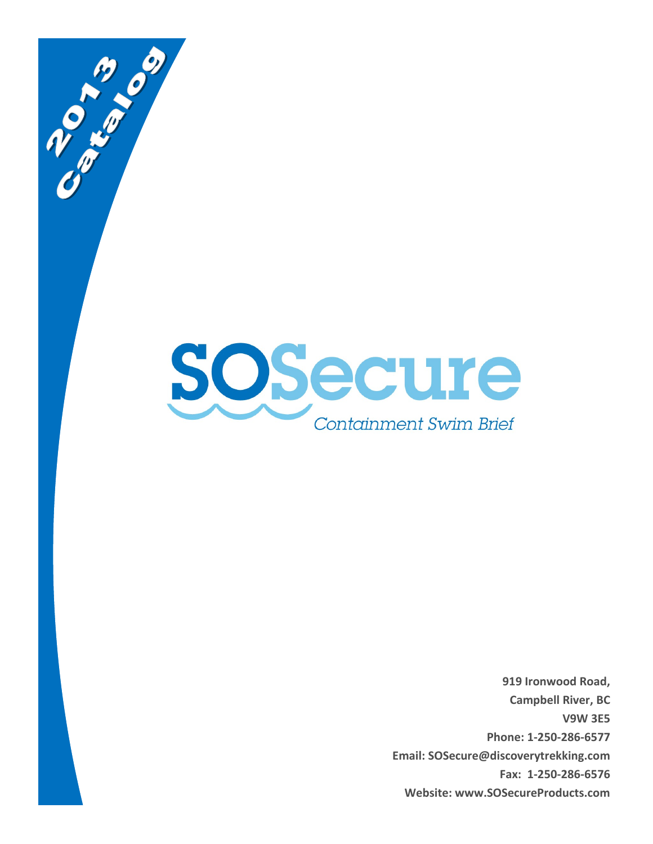

**COMPASSION** 

**919 Ironwood Road, Campbell River, BC V9W 3E5 Phone: 1-250-286-6577 Email: SOSecure@discoverytrekking.com Fax: 1-250-286-6576 Website: www.SOSecureProducts.com**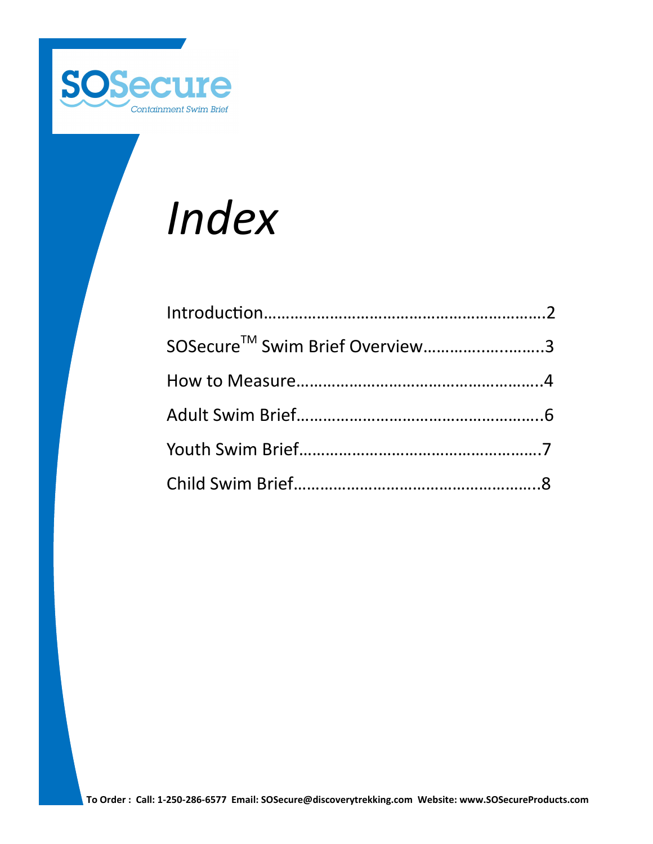

# *Index*

| SOSecure™ Swim Brief Overview3 |  |
|--------------------------------|--|
|                                |  |
|                                |  |
|                                |  |
|                                |  |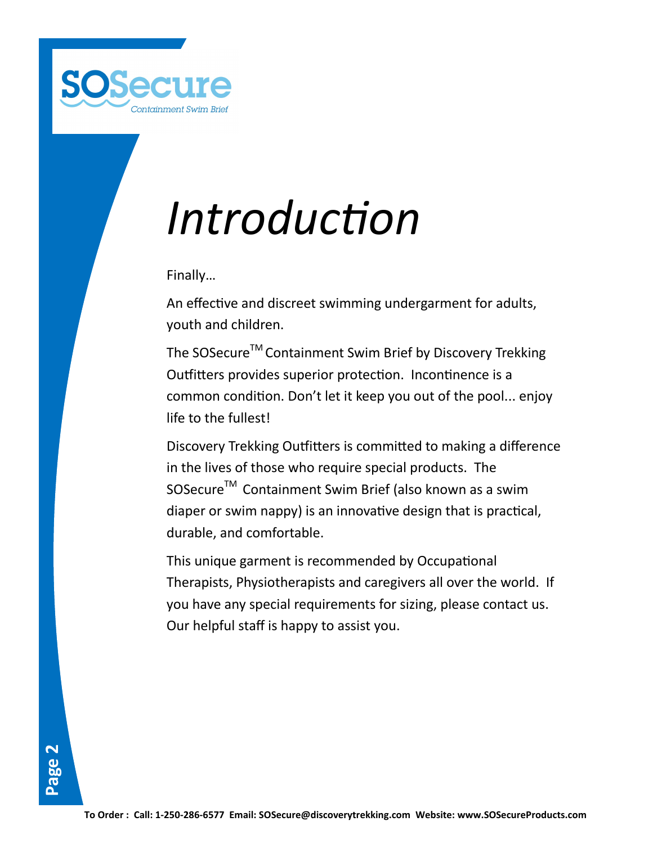

# *Introduction*

Finally…

An effective and discreet swimming undergarment for adults, youth and children.

The SOSecure™ Containment Swim Brief by Discovery Trekking Outfitters provides superior protection. Incontinence is a common condition. Don't let it keep you out of the pool... enjoy life to the fullest!

Discovery Trekking Outfitters is committed to making a difference in the lives of those who require special products. The SOSecure<sup>™</sup> Containment Swim Brief (also known as a swim diaper or swim nappy) is an innovative design that is practical, durable, and comfortable.

This unique garment is recommended by Occupational Therapists, Physiotherapists and caregivers all over the world. If you have any special requirements for sizing, please contact us. Our helpful staff is happy to assist you.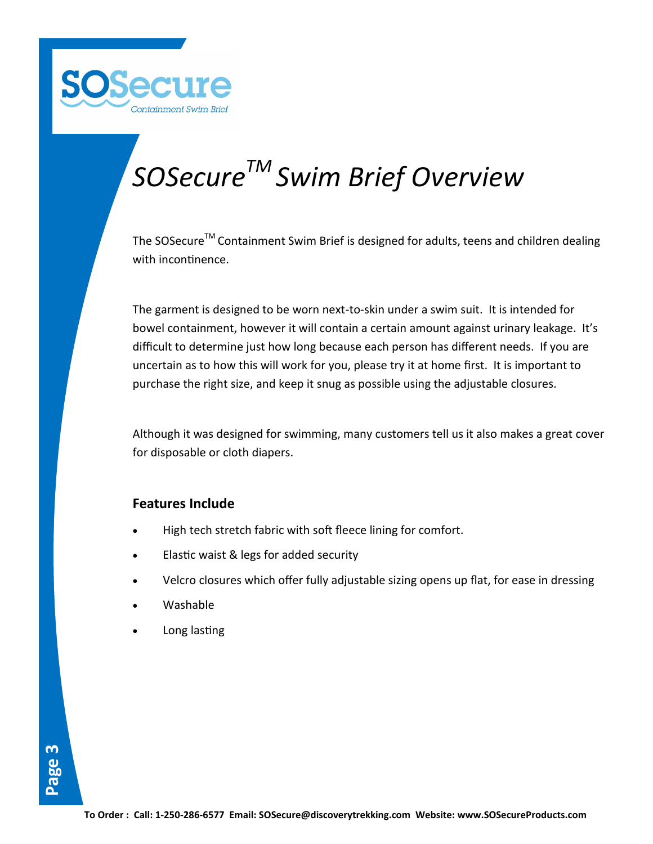

## *SOSecureTM Swim Brief Overview*

The SOSecure<sup>™</sup> Containment Swim Brief is designed for adults, teens and children dealing with incontinence.

The garment is designed to be worn next-to-skin under a swim suit. It is intended for bowel containment, however it will contain a certain amount against urinary leakage. It's difficult to determine just how long because each person has different needs. If you are uncertain as to how this will work for you, please try it at home first. It is important to purchase the right size, and keep it snug as possible using the adjustable closures.

Although it was designed for swimming, many customers tell us it also makes a great cover for disposable or cloth diapers.

#### **Features Include**

- High tech stretch fabric with soft fleece lining for comfort.
- Elastic waist & legs for added security
- Velcro closures which offer fully adjustable sizing opens up flat, for ease in dressing
- Washable
- Long lasting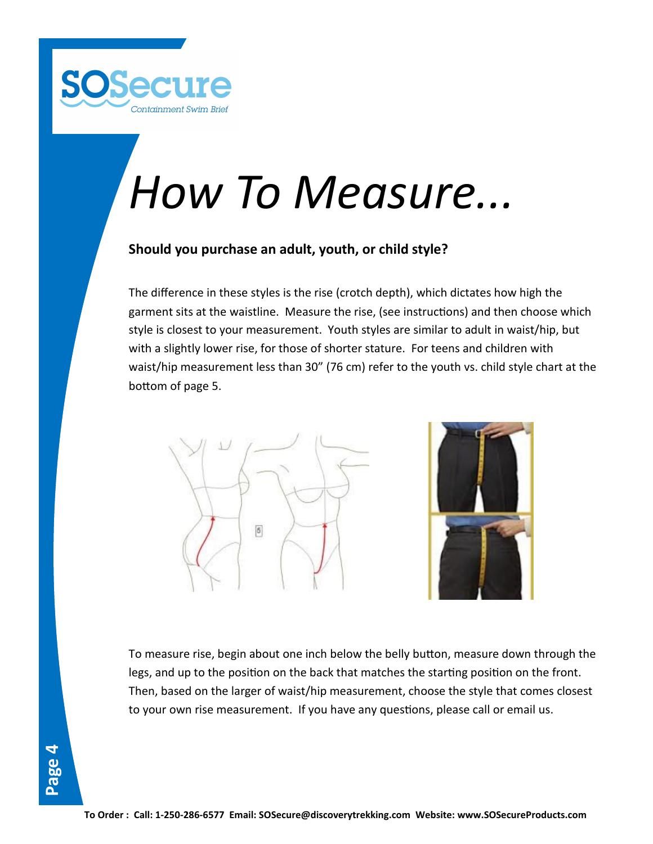

# *How To Measure...*

#### **Should you purchase an adult, youth, or child style?**

The difference in these styles is the rise (crotch depth), which dictates how high the garment sits at the waistline. Measure the rise, (see instructions) and then choose which style is closest to your measurement. Youth styles are similar to adult in waist/hip, but with a slightly lower rise, for those of shorter stature. For teens and children with waist/hip measurement less than 30" (76 cm) refer to the youth vs. child style chart at the bottom of page 5.





To measure rise, begin about one inch below the belly button, measure down through the legs, and up to the position on the back that matches the starting position on the front. Then, based on the larger of waist/hip measurement, choose the style that comes closest to your own rise measurement. If you have any questions, please call or email us.

**Page 4**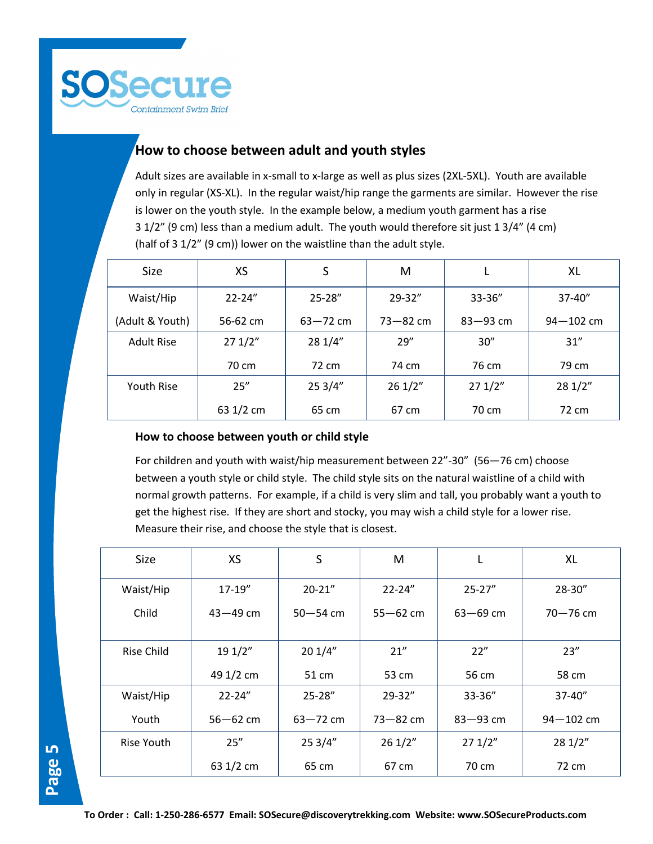

#### **How to choose between adult and youth styles**

Adult sizes are available in x-small to x-large as well as plus sizes (2XL-5XL). Youth are available only in regular (XS-XL). In the regular waist/hip range the garments are similar. However the rise is lower on the youth style. In the example below, a medium youth garment has a rise 3 1/2" (9 cm) less than a medium adult. The youth would therefore sit just 1 3/4" (4 cm) (half of 3 1/2" (9 cm)) lower on the waistline than the adult style.

| <b>Size</b>     | XS         | S            | М            |              | XL            |
|-----------------|------------|--------------|--------------|--------------|---------------|
| Waist/Hip       | $22 - 24"$ | $25 - 28''$  | $29 - 32"$   | $33 - 36''$  | $37 - 40"$    |
| (Adult & Youth) | 56-62 cm   | $63 - 72$ cm | $73 - 82$ cm | $83 - 93$ cm | $94 - 102$ cm |
| Adult Rise      | 271/2"     | 28 1/4"      | 29''         | 30''         | 31''          |
|                 | 70 cm      | 72 cm        | 74 cm        | 76 cm        | 79 cm         |
| Youth Rise      | 25''       | 253/4"       | 261/2"       | 271/2"       | 281/2"        |
|                 | 63 1/2 cm  | 65 cm        | 67 cm        | 70 cm        | 72 cm         |

#### **How to choose between youth or child style**

For children and youth with waist/hip measurement between 22"-30" (56—76 cm) choose between a youth style or child style. The child style sits on the natural waistline of a child with normal growth patterns. For example, if a child is very slim and tall, you probably want a youth to get the highest rise. If they are short and stocky, you may wish a child style for a lower rise. Measure their rise, and choose the style that is closest.

| Size              | <b>XS</b>    | S            | M            | L            | XL            |
|-------------------|--------------|--------------|--------------|--------------|---------------|
| Waist/Hip         | $17-19''$    | $20 - 21"$   | $22 - 24"$   | $25 - 27"$   | 28-30"        |
| Child             | $43 - 49$ cm | $50 - 54$ cm | $55 - 62$ cm | $63 - 69$ cm | $70 - 76$ cm  |
| <b>Rise Child</b> | 19 1/2"      | 201/4"       | 21''         | 22"          | 23''          |
|                   | 49 1/2 cm    | 51 cm        | 53 cm        | 56 cm        | 58 cm         |
| Waist/Hip         | $22 - 24"$   | 25-28"       | $29 - 32"$   | 33-36"       | $37 - 40''$   |
| Youth             | $56 - 62$ cm | $63 - 72$ cm | $73 - 82$ cm | $83 - 93$ cm | $94 - 102$ cm |
| Rise Youth        | 25''         | 253/4"       | 261/2"       | 271/2"       | 28 1/2"       |
|                   | 63 1/2 cm    | 65 cm        | 67 cm        | 70 cm        | 72 cm         |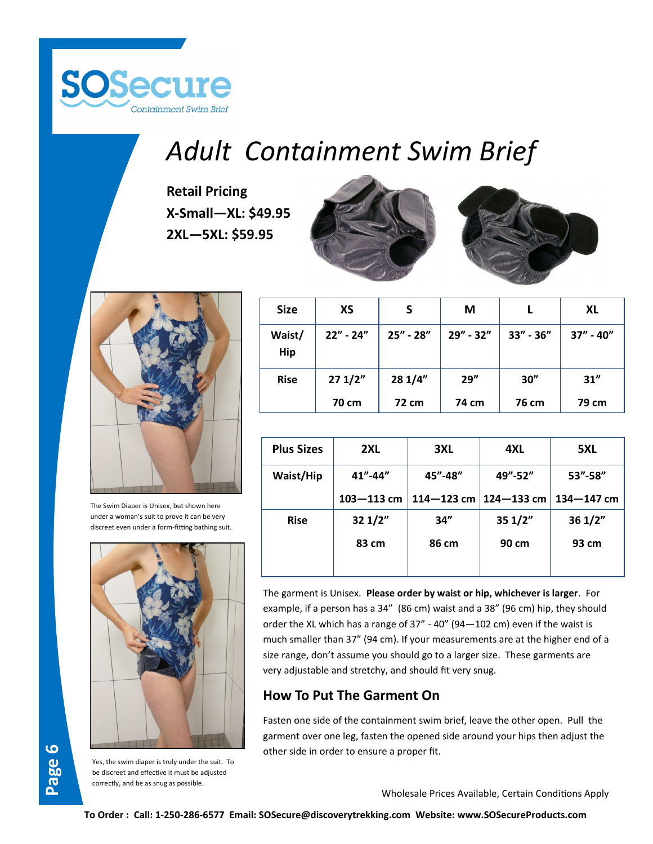

## *Adult Containment Swim Brief*

**Retail Pricing X-Small—XL: \$49.95 2XL—5XL: \$59.95**







The Swim Diaper is Unisex, but shown here under a woman's suit to prove it can be very discreet even under a form-fitting bathing suit.





Yes, the swim diaper is truly under the suit. To be discreet and effective it must be adjusted correctly, and be as snug as possible.

| <b>Size</b>          | <b>XS</b>   | S             | M         |           | XL            |
|----------------------|-------------|---------------|-----------|-----------|---------------|
| Waist/<br><b>Hip</b> | $22" - 24"$ | $25'' - 28''$ | 29" - 32" | 33" - 36" | $37'' - 40''$ |
| <b>Rise</b>          | 271/2"      | 281/4"        | 29''      | 30''      | 31"           |
|                      | 70 cm       | 72 cm         | 74 cm     | 76 cm     | 79 cm         |

| <b>Plus Sizes</b> | 2XL                                       | 3XL            | 4XL            | 5XL            |
|-------------------|-------------------------------------------|----------------|----------------|----------------|
| Waist/Hip         | $41^{\prime\prime}$ -44 $^{\prime\prime}$ | 45"-48"        | 49"-52"        | $53'' - 58''$  |
|                   | $103 - 113$ cm                            | $114 - 123$ cm | $124 - 133$ cm | $134 - 147$ cm |
| <b>Rise</b>       | 321/2"                                    | 34"            | 351/2"         | 361/2"         |
|                   | 83 cm                                     | 86 cm          | 90 cm          | 93 cm          |
|                   |                                           |                |                |                |

The garment is Unisex. **Please order by waist or hip, whichever is larger**. For example, if a person has a 34" (86 cm) waist and a 38" (96 cm) hip, they should order the XL which has a range of 37" - 40" (94—102 cm) even if the waist is much smaller than 37" (94 cm). If your measurements are at the higher end of a size range, don't assume you should go to a larger size. These garments are very adjustable and stretchy, and should fit very snug.

#### **How To Put The Garment On**

Fasten one side of the containment swim brief, leave the other open. Pull the garment over one leg, fasten the opened side around your hips then adjust the other side in order to ensure a proper fit.

Wholesale Prices Available, Certain Conditions Apply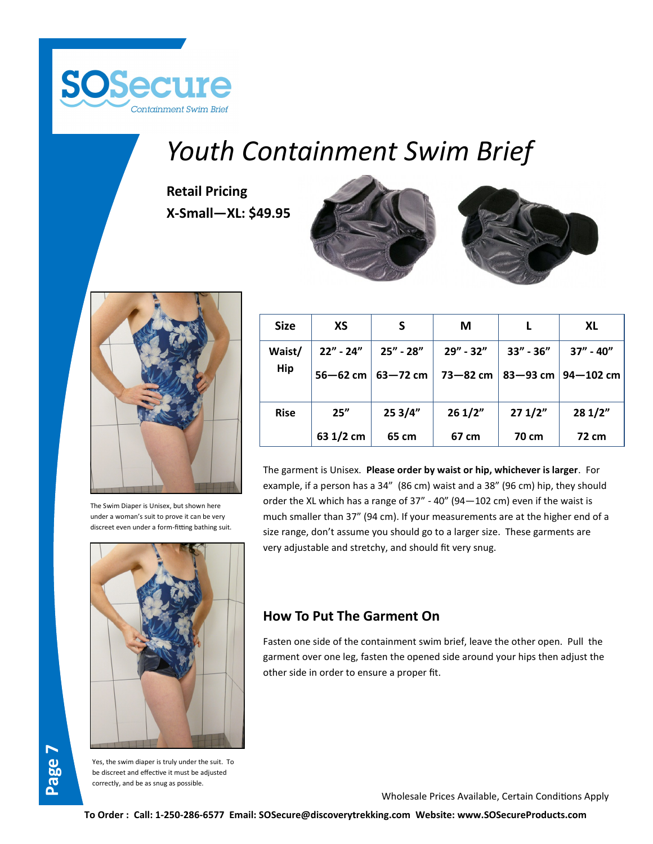

### *Youth Containment Swim Brief*

**Retail Pricing X-Small—XL: \$49.95**





The Swim Diaper is Unisex, but shown here under a woman's suit to prove it can be very discreet even under a form-fitting bathing suit.



|  | <b>Size</b> | XS          |                       | М         |               | <b>XL</b>                       |
|--|-------------|-------------|-----------------------|-----------|---------------|---------------------------------|
|  | Waist/      | $22" - 24"$ | $25'' - 28''$         | 29" - 32" | $33'' - 36''$ | $37'' - 40''$                   |
|  | <b>Hip</b>  |             | 56–62 cm $ $ 63–72 cm |           |               | 73–82 cm   83–93 cm   94–102 cm |
|  | <b>Rise</b> | 25"         | 253/4"                | 261/2"    | 271/2"        | 281/2"                          |
|  |             | 63 1/2 cm   | 65 cm                 | 67 cm     | 70 cm         | 72 cm                           |

The garment is Unisex. **Please order by waist or hip, whichever is larger**. For example, if a person has a 34" (86 cm) waist and a 38" (96 cm) hip, they should order the XL which has a range of 37" - 40" (94—102 cm) even if the waist is much smaller than 37" (94 cm). If your measurements are at the higher end of a size range, don't assume you should go to a larger size. These garments are very adjustable and stretchy, and should fit very snug.

#### **How To Put The Garment On**

Fasten one side of the containment swim brief, leave the other open. Pull the garment over one leg, fasten the opened side around your hips then adjust the other side in order to ensure a proper fit.

**Page 7**

Yes, the swim diaper is truly under the suit. To be discreet and effective it must be adjusted correctly, and be as snug as possible.

Wholesale Prices Available, Certain Conditions Apply